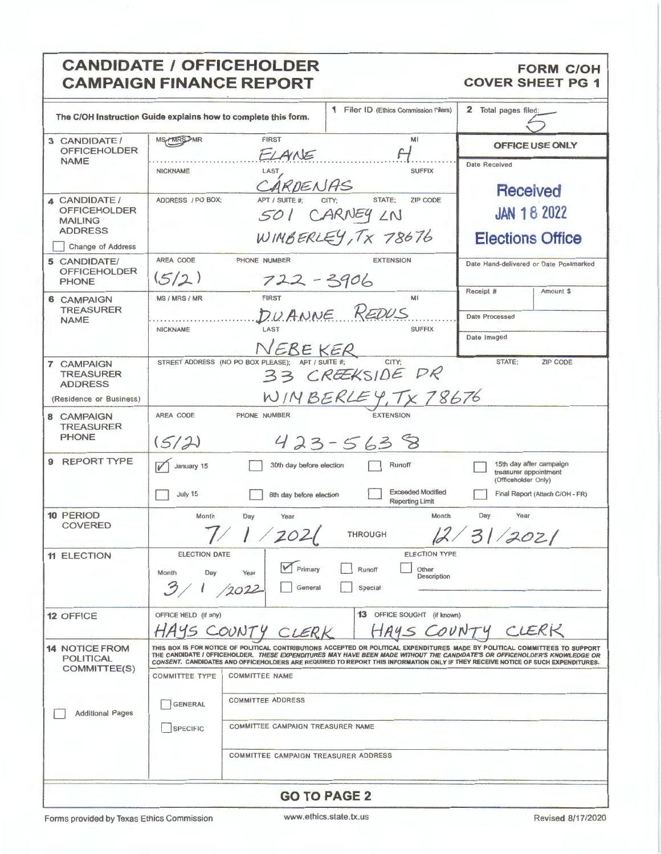### **CANDIDATE / OFFICEHOLDER CAMPAIGN FINANCE REPORT**

#### **FORM C/OH COVER SHEET PG 1**

|                                                                          | The C/OH Instruction Guide explains how to complete this form.                                                                                                                                                                                                                                                                                                                                |                                                | <b>1</b> Filer ID (Ethics Commission Filers) | 2 Total pages filed:                            |  |  |  |  |
|--------------------------------------------------------------------------|-----------------------------------------------------------------------------------------------------------------------------------------------------------------------------------------------------------------------------------------------------------------------------------------------------------------------------------------------------------------------------------------------|------------------------------------------------|----------------------------------------------|-------------------------------------------------|--|--|--|--|
| 3 CANDIDATE /<br><b>OFFICEHOLDER</b>                                     | <b>MS/MRSDMR</b>                                                                                                                                                                                                                                                                                                                                                                              | <b>FIRST</b><br>ELAINE                         | MI                                           | <b>OFFICE USE ONLY</b>                          |  |  |  |  |
| <b>NAME</b>                                                              | <b>NICKNAME</b>                                                                                                                                                                                                                                                                                                                                                                               | LAST<br>ARDENAS                                | <b>SUFFIX</b>                                | <b>Date Received</b><br><b>Received</b>         |  |  |  |  |
| 4 CANDIDATE /<br><b>OFFICEHOLDER</b><br><b>MAILING</b><br><b>ADDRESS</b> | STATE:<br><b>ZIP CODE</b><br>ADDRESS / PO BOX;<br>APT / SUITE #:<br>CITY:<br><b>JAN 18 2022</b><br>501 CARNEY LN                                                                                                                                                                                                                                                                              |                                                |                                              |                                                 |  |  |  |  |
| Change of Address                                                        |                                                                                                                                                                                                                                                                                                                                                                                               | WIMBERLEY, TX 78676<br><b>Elections Office</b> |                                              |                                                 |  |  |  |  |
| 5 CANDIDATE/<br><b>OFFICEHOLDER</b><br><b>PHONE</b>                      | AREA CODE<br>(5/2)                                                                                                                                                                                                                                                                                                                                                                            | PHONE NUMBER<br>$722 - 3906$                   | <b>EXTENSION</b>                             | Date Hand-delivered or Date Postmarked          |  |  |  |  |
| 6 CAMPAIGN<br><b>TREASURER</b>                                           | MS / MRS / MR                                                                                                                                                                                                                                                                                                                                                                                 | <b>FIRST</b><br>DUANNE REDUS                   | MI                                           | Receipt #<br>Amount \$<br><b>Date Processed</b> |  |  |  |  |
| <b>NAME</b>                                                              | <b>NICKNAME</b>                                                                                                                                                                                                                                                                                                                                                                               | LAST                                           | <b>SUFFIX</b>                                | Date Imaged                                     |  |  |  |  |
|                                                                          |                                                                                                                                                                                                                                                                                                                                                                                               | NEBE KER                                       |                                              |                                                 |  |  |  |  |
| <b>7 CAMPAIGN</b><br><b>TREASURER</b><br><b>ADDRESS</b>                  | STREET ADDRESS (NO PO BOX PLEASE);<br>CITY:<br>STATE:<br><b>ZIP CODE</b><br>33 CREEKSIDE DR                                                                                                                                                                                                                                                                                                   |                                                |                                              |                                                 |  |  |  |  |
| (Residence or Business)                                                  | WINBERLEY, TX 78676                                                                                                                                                                                                                                                                                                                                                                           |                                                |                                              |                                                 |  |  |  |  |
| 8 CAMPAIGN<br><b>TREASURER</b>                                           | AREA CODE                                                                                                                                                                                                                                                                                                                                                                                     | PHONE NUMBER                                   | <b>EXTENSION</b>                             |                                                 |  |  |  |  |
| <b>PHONE</b>                                                             | $423 - 5638$<br>(5/2)                                                                                                                                                                                                                                                                                                                                                                         |                                                |                                              |                                                 |  |  |  |  |
| 9<br><b>REPORT TYPE</b>                                                  | 15th day after campaign<br>January 15<br>30th day before election<br>Runoff<br>treasurer appointment<br>(Officeholder Only)                                                                                                                                                                                                                                                                   |                                                |                                              |                                                 |  |  |  |  |
|                                                                          | <b>Exceeded Modified</b><br>July 15<br>Final Report (Attach C/OH - FR)<br>8th day before election<br><b>Reporting Limit</b>                                                                                                                                                                                                                                                                   |                                                |                                              |                                                 |  |  |  |  |
| 10 PERIOD<br><b>COVERED</b>                                              | Month<br>Day<br>Year<br>Month<br>Day<br>Year<br>1/202(<br>2/31/2021<br><b>THROUGH</b>                                                                                                                                                                                                                                                                                                         |                                                |                                              |                                                 |  |  |  |  |
| <b>11 ELECTION</b>                                                       | <b>ELECTION DATE</b><br><b>ELECTION TYPE</b><br>$\sqrt{\phantom{a}}$ Primary<br>Runoff<br>Other<br>Year<br>Month<br>Day<br>Description<br>3/1<br>/2022<br>Special<br>General                                                                                                                                                                                                                  |                                                |                                              |                                                 |  |  |  |  |
| <b>12 OFFICE</b>                                                         | 13 OFFICE SOUGHT (if known)<br>OFFICE HELD (if any)<br>CLERK<br>HAYS C<br>OUNT                                                                                                                                                                                                                                                                                                                |                                                |                                              |                                                 |  |  |  |  |
| <b>14 NOTICE FROM</b><br><b>POLITICAL</b><br>COMMITTEE(S)                | THIS BOX IS FOR NOTICE OF POLITICAL CONTRIBUTIONS ACCEPTED OR POLITICAL EXPENDITURES MADE BY POLITICAL COMMITTEES TO SUPPORT<br>THE CANDIDATE I OFFICEHOLDER. THESE EXPENDITURES MAY HAVE BEEN MADE WITHOUT THE CANDIDATE'S OR OFFICEHOLDER'S KNOWLEDGE OR<br>CONSENT. CANDIDATES AND OFFICEHOLDERS ARE REQUIRED TO REPORT THIS INFORMATION ONLY IF THEY RECEIVE NOTICE OF SUCH EXPENDITURES. |                                                |                                              |                                                 |  |  |  |  |
|                                                                          | <b>COMMITTEE TYPE</b>                                                                                                                                                                                                                                                                                                                                                                         | <b>COMMITTEE NAME</b>                          |                                              |                                                 |  |  |  |  |
| <b>Additional Pages</b>                                                  | <b>GENERAL</b>                                                                                                                                                                                                                                                                                                                                                                                | <b>COMMITTEE ADDRESS</b>                       |                                              |                                                 |  |  |  |  |
|                                                                          | COMMITTEE CAMPAIGN TREASURER NAME<br><b>SPECIFIC</b>                                                                                                                                                                                                                                                                                                                                          |                                                |                                              |                                                 |  |  |  |  |
|                                                                          |                                                                                                                                                                                                                                                                                                                                                                                               | COMMITTEE CAMPAIGN TREASURER ADDRESS           |                                              |                                                 |  |  |  |  |
|                                                                          |                                                                                                                                                                                                                                                                                                                                                                                               | <b>GO TO PAGE 2</b>                            |                                              |                                                 |  |  |  |  |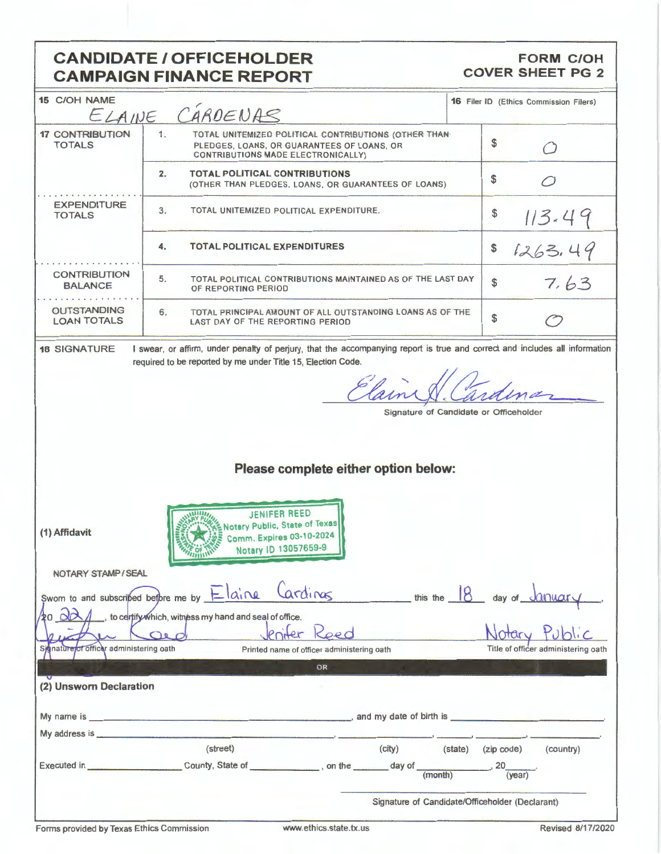## **CANDIDATE / OFFICEHOLDER CAMPAIGN FINANCE REPORT**

#### **FORM C/OH COVER SHEET PG 2**

| 15 C/OH NAME                                                                                                                                                                                                                   |                                                                                                                                                | <b>16</b> Filer ID (Ethics Commission Filers)              |  |  |
|--------------------------------------------------------------------------------------------------------------------------------------------------------------------------------------------------------------------------------|------------------------------------------------------------------------------------------------------------------------------------------------|------------------------------------------------------------|--|--|
|                                                                                                                                                                                                                                | ELAINE CARDENAS                                                                                                                                |                                                            |  |  |
| <b>17 CONTRIBUTION</b><br><b>TOTALS</b>                                                                                                                                                                                        | 1.<br>TOTAL UNITEMIZED POLITICAL CONTRIBUTIONS (OTHER THAN<br>PLEDGES, LOANS, OR GUARANTEES OF LOANS, OR<br>CONTRIBUTIONS MADE ELECTRONICALLY) | \$<br>- 1                                                  |  |  |
|                                                                                                                                                                                                                                | $\overline{2}$ .<br><b>TOTAL POLITICAL CONTRIBUTIONS</b><br>(OTHER THAN PLEDGES, LOANS, OR GUARANTEES OF LOANS)                                | \$                                                         |  |  |
| <b>EXPENDITURE</b><br><b>TOTALS</b>                                                                                                                                                                                            | 3.<br>TOTAL UNITEMIZED POLITICAL EXPENDITURE.                                                                                                  | \$<br>113.49                                               |  |  |
|                                                                                                                                                                                                                                | <b>TOTAL POLITICAL EXPENDITURES</b><br>4.                                                                                                      | \$<br>1263.49                                              |  |  |
| <b>CONTRIBUTION</b><br><b>BALANCE</b>                                                                                                                                                                                          | 5.<br>TOTAL POLITICAL CONTRIBUTIONS MAINTAINED AS OF THE LAST DAY<br>OF REPORTING PERIOD                                                       | 7.63<br>\$                                                 |  |  |
| <b>OUTSTANDING</b><br><b>LOAN TOTALS</b>                                                                                                                                                                                       | 6.<br>TOTAL PRINCIPAL AMOUNT OF ALL OUTSTANDING LOANS AS OF THE<br>LAST DAY OF THE REPORTING PERIOD                                            | \$                                                         |  |  |
| <b>18 SIGNATURE</b>                                                                                                                                                                                                            | I swear, or affirm, under penalty of perjury, that the accompanying report is true and correct and includes all information                    |                                                            |  |  |
|                                                                                                                                                                                                                                | required to be reported by me under Title 15, Election Code.                                                                                   |                                                            |  |  |
|                                                                                                                                                                                                                                | Elain                                                                                                                                          |                                                            |  |  |
|                                                                                                                                                                                                                                |                                                                                                                                                |                                                            |  |  |
|                                                                                                                                                                                                                                |                                                                                                                                                | Signature of Candidate or Officeholder                     |  |  |
|                                                                                                                                                                                                                                |                                                                                                                                                |                                                            |  |  |
|                                                                                                                                                                                                                                |                                                                                                                                                |                                                            |  |  |
|                                                                                                                                                                                                                                | Please complete either option below:                                                                                                           |                                                            |  |  |
|                                                                                                                                                                                                                                |                                                                                                                                                |                                                            |  |  |
|                                                                                                                                                                                                                                |                                                                                                                                                |                                                            |  |  |
| (1) Affidavit                                                                                                                                                                                                                  | <b>JENIFER REED</b><br>Notary Public, State of Texas<br>Comm. Expires 03-10-2024<br>Notary ID 13057659-9                                       |                                                            |  |  |
| NOTARY STAMP/SEAL                                                                                                                                                                                                              |                                                                                                                                                |                                                            |  |  |
|                                                                                                                                                                                                                                |                                                                                                                                                |                                                            |  |  |
|                                                                                                                                                                                                                                | Cardinas<br>Swom to and subscribed before me by $\frac{1}{2}$ $\alpha$ $\alpha$                                                                | $\frac{1}{2}$ this the $\frac{18}{8}$ day of $\frac{1}{2}$ |  |  |
| to certify which, witness my hand and seal of office.<br>Koed<br>Qed                                                                                                                                                           |                                                                                                                                                |                                                            |  |  |
| of officer administering oath<br>gnature                                                                                                                                                                                       | Printed name of officer administering oath                                                                                                     | Title of officer administering oath                        |  |  |
|                                                                                                                                                                                                                                | OR                                                                                                                                             |                                                            |  |  |
|                                                                                                                                                                                                                                |                                                                                                                                                |                                                            |  |  |
| (2) Unsworn Declaration                                                                                                                                                                                                        |                                                                                                                                                |                                                            |  |  |
|                                                                                                                                                                                                                                |                                                                                                                                                |                                                            |  |  |
|                                                                                                                                                                                                                                |                                                                                                                                                |                                                            |  |  |
| My address is experience and the set of the set of the set of the set of the set of the set of the set of the set of the set of the set of the set of the set of the set of the set of the set of the set of the set of the se |                                                                                                                                                |                                                            |  |  |
|                                                                                                                                                                                                                                | (street)<br>(city)                                                                                                                             | (state) (zip code)<br>(country)                            |  |  |
|                                                                                                                                                                                                                                |                                                                                                                                                |                                                            |  |  |
|                                                                                                                                                                                                                                |                                                                                                                                                | Signature of Candidate/Officeholder (Declarant)            |  |  |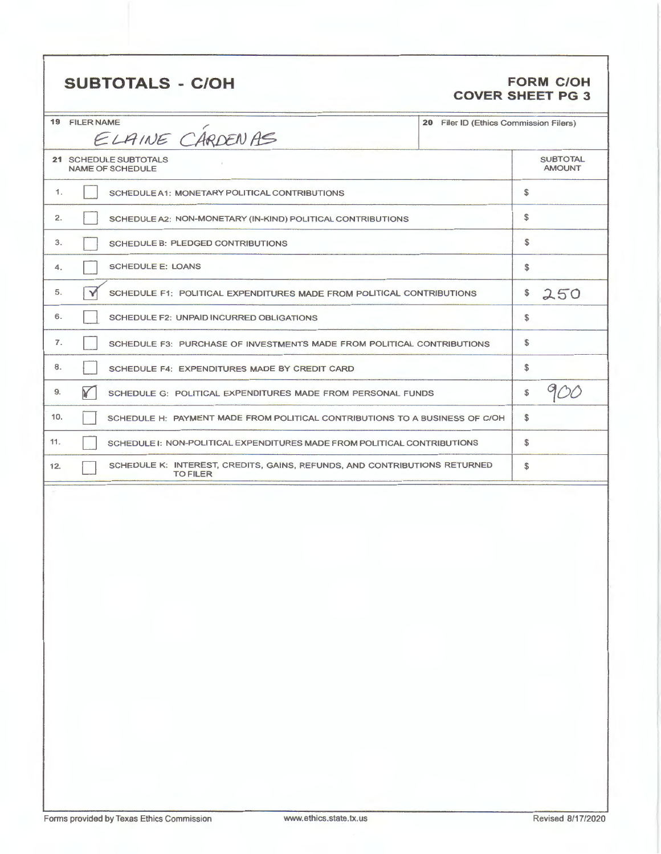# **SUBTOTALS** - **C/OH FORM C/OH**

# **COVER SHEET PG 3**

| <b>19 FILER NAME</b><br>ELAINE CARDENAS                                                             | 20 Filer ID (Ethics Commission Filers) |              |
|-----------------------------------------------------------------------------------------------------|----------------------------------------|--------------|
| 21 SCHEDULE SUBTOTALS<br>NAME OF SCHEDULE                                                           | <b>SUBTOTAL</b><br><b>AMOUNT</b>       |              |
| 1.<br>SCHEDULE A1: MONETARY POLITICAL CONTRIBUTIONS                                                 |                                        | $\mathbb{S}$ |
| 2.<br>SCHEDULE A2: NON-MONETARY (IN-KIND) POLITICAL CONTRIBUTIONS                                   |                                        | \$           |
| 3.<br>SCHEDULE B: PLEDGED CONTRIBUTIONS                                                             |                                        | \$           |
| <b>SCHEDULE E: LOANS</b><br>4.                                                                      |                                        | \$           |
| 5.<br>Y<br>SCHEDULE F1: POLITICAL EXPENDITURES MADE FROM POLITICAL CONTRIBUTIONS                    |                                        | \$<br>250    |
| 6.<br><b>SCHEDULE F2: UNPAID INCURRED OBLIGATIONS</b>                                               |                                        | \$           |
| 7.<br>SCHEDULE F3: PURCHASE OF INVESTMENTS MADE FROM POLITICAL CONTRIBUTIONS                        |                                        | \$           |
| 8.<br>SCHEDULE F4: EXPENDITURES MADE BY CREDIT CARD                                                 |                                        | \$           |
| ¥<br>9.<br>SCHEDULE G: POLITICAL EXPENDITURES MADE FROM PERSONAL FUNDS                              |                                        | \$           |
| 10.<br>SCHEDULE H: PAYMENT MADE FROM POLITICAL CONTRIBUTIONS TO A BUSINESS OF C/OH                  |                                        | $\mathbb{S}$ |
| 11.<br>SCHEDULE I: NON-POLITICAL EXPENDITURES MADE FROM POLITICAL CONTRIBUTIONS                     |                                        | \$           |
| SCHEDULE K: INTEREST, CREDITS, GAINS, REFUNDS, AND CONTRIBUTIONS RETURNED<br>12.<br><b>TO FILER</b> |                                        | \$           |
|                                                                                                     |                                        |              |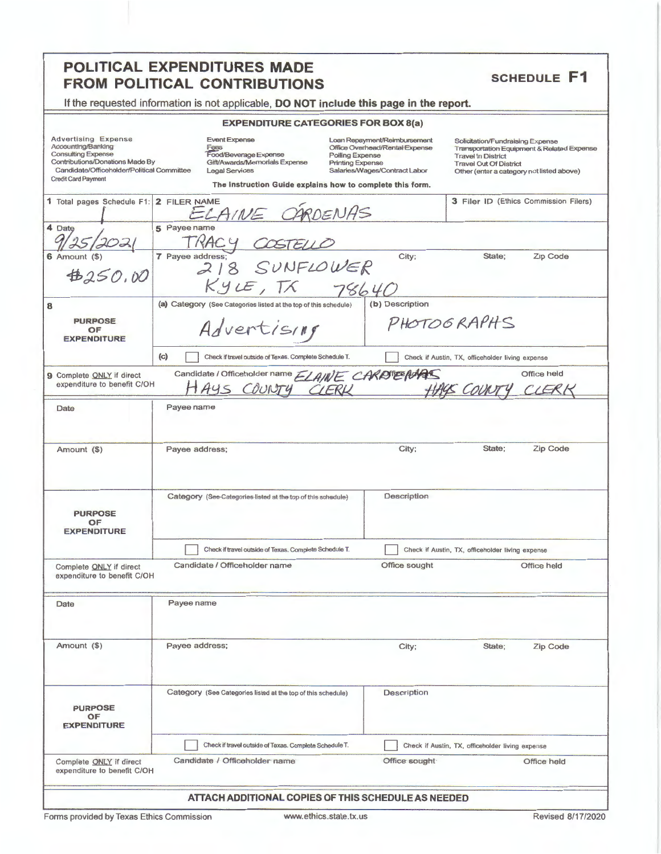#### POLITICAL EXPENDITURES MADE **SCHEDULE F1 FROM POLITICAL CONTRIBUTIONS** If the requested information is not applicable, DO NOT include this page in the report. **EXPENDITURE CATEGORIES FOR BOX 8(a)** Event Expense Advertising Expense<br>Accounting/Banking Loan Repayment/Reimbursement Solicitation/Fundraising Expense Office Overhead/Rental Expense Transportation Equipment & Related Expense<br>Transportation Equipment & Related Expense Fees<br>Food/Beverage Expense **Consulting Expense Polling Expense** Contributions/Donations Made By Gift/Awards/Memorials Expense **Printing Expense Travel Out Of District** Legal Services Salaries/Wages/Contract Labor Candidate/Officeholder/Political Committee Other (enter a category not listed above) **Credit Card Payment** The Instruction Guide explains how to complete this form. 1 Total pages Schedule F1: 2 FILER NAME 3 Filer ID (Ethics Commission Filers) ARDENAS ELAINE C 5 Payee name 4 Date  $9/25/202$ TRACY 7 Payee address; 218 SUNFLOWER City; State: Zip Code  $6$  Amount  $($ ) \$250.00  $KyzE, TK$  78640 (a) Category (See Categories listed at the top of this schedule) (b) Description 8 PHOTOGRAPHS **PURPOSE** Advertising OF **EXPENDITURE** Check if travel outside of Texas. Complete Schedule T. Check if Austin, TX, officeholder living expense  $(c)$ Candidate / Officeholder name ELAINE CARDTEEPARTS Office held 9 Complete ONLY if direct expenditure to benefit C/OH HACK COUNTY COUNTY CIERK CIER Date Payee name City: State; Zip Code Amount (\$) Payee address; Description Category (See-Categories listed at the top of this schedule) **PURPOSE** OF **EXPENDITURE** Check if travel outside of Texas. Complete Schedule T. Check if Austin, TX, officeholder living expense Candidate / Officeholder name Office sought Office held Complete ONLY if direct expenditure to benefit C/OH Payee name Date Amount (\$) Payee address; City; State: Zip Code Category (See Categories listed at the top of this schedule) Description **PURPOSE** OF **EXPENDITURE** Check if travel outside of Texas. Complete Schedule T. Check if Austin, TX, officeholder living expense Candidate / Officeholder name Office sought Office held Complete ONLY if direct expenditure to benefit C/OH

#### ATTACH ADDITIONAL COPIES OF THIS SCHEDULE AS NEEDED

Forms provided by Texas Ethics Commission